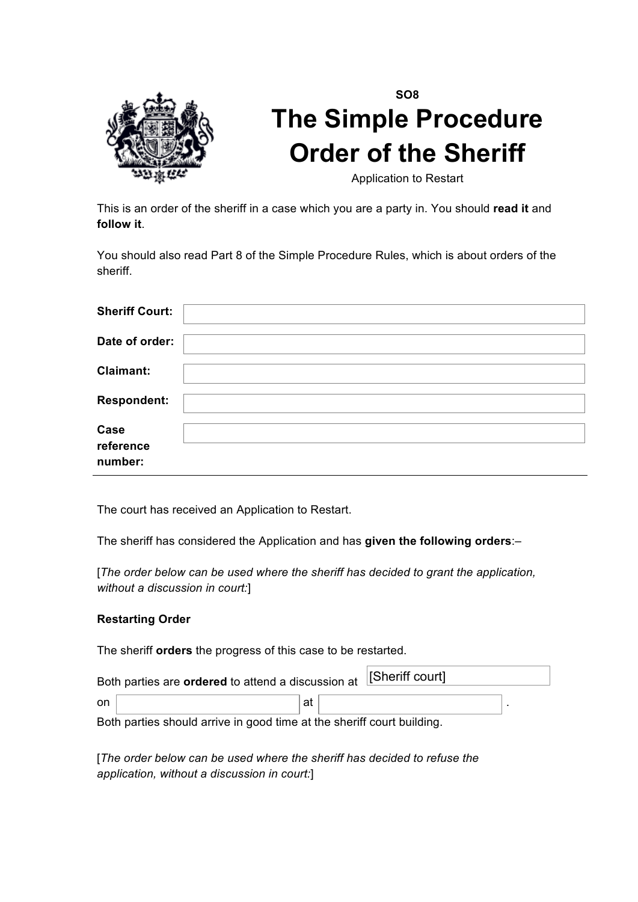

# **SO8 The Simple Procedure Order of the Sheriff**

Application to Restart

This is an order of the sheriff in a case which you are a party in. You should **read it** and **follow it**.

You should also read Part 8 of the Simple Procedure Rules, which is about orders of the sheriff.

| <b>Sheriff Court:</b>        |  |
|------------------------------|--|
| Date of order:               |  |
| <b>Claimant:</b>             |  |
| <b>Respondent:</b>           |  |
| Case<br>reference<br>number: |  |

The court has received an Application to Restart.

The sheriff has considered the Application and has **given the following orders**:–

[*The order below can be used where the sheriff has decided to grant the application, without a discussion in court:*]

# **Restarting Order**

The sheriff **orders** the progress of this case to be restarted.

| Both parties are ordered to attend a discussion at [Sheriff court] |  |  |  |
|--------------------------------------------------------------------|--|--|--|
| on                                                                 |  |  |  |
|                                                                    |  |  |  |

Both parties should arrive in good time at the sheriff court building.

[*The order below can be used where the sheriff has decided to refuse the application, without a discussion in court:*]